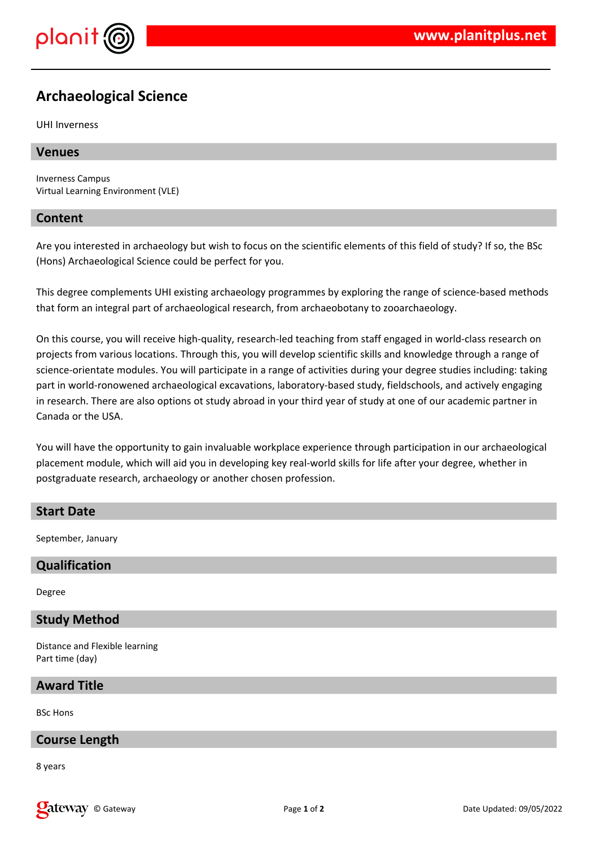

# **Archaeological Science**

UHI Inverness

### **Venues**

Inverness Campus Virtual Learning Environment (VLE)

### **Content**

Are you interested in archaeology but wish to focus on the scientific elements of this field of study? If so, the BSc (Hons) Archaeological Science could be perfect for you.

This degree complements UHI existing archaeology programmes by exploring the range of science-based methods that form an integral part of archaeological research, from archaeobotany to zooarchaeology.

On this course, you will receive high-quality, research-led teaching from staff engaged in world-class research on projects from various locations. Through this, you will develop scientific skills and knowledge through a range of science-orientate modules. You will participate in a range of activities during your degree studies including: taking part in world-ronowened archaeological excavations, laboratory-based study, fieldschools, and actively engaging in research. There are also options ot study abroad in your third year of study at one of our academic partner in Canada or the USA.

You will have the opportunity to gain invaluable workplace experience through participation in our archaeological placement module, which will aid you in developing key real-world skills for life after your degree, whether in postgraduate research, archaeology or another chosen profession.

## **Start Date**

September, January

# **Qualification**

Degree

## **Study Method**

Distance and Flexible learning Part time (day)

### **Award Title**

BSc Hons

### **Course Length**

8 years